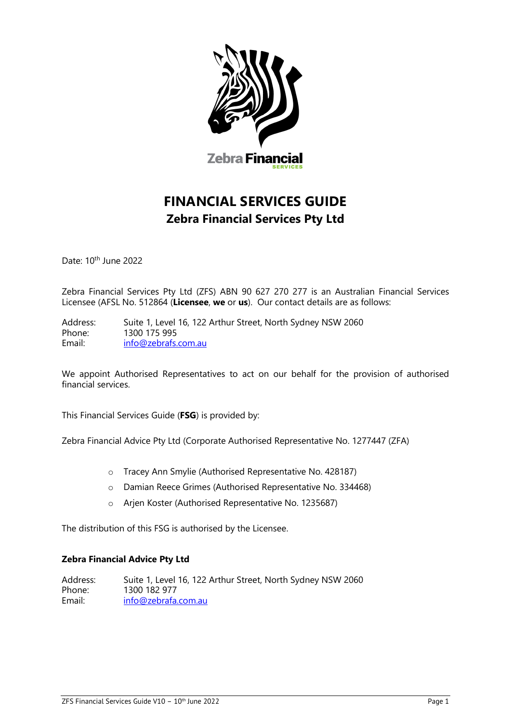

# **FINANCIAL SERVICES GUIDE Zebra Financial Services Pty Ltd**

Date: 10<sup>th</sup> June 2022

Zebra Financial Services Pty Ltd (ZFS) ABN 90 627 270 277 is an Australian Financial Services Licensee (AFSL No. 512864 (**Licensee**, **we** or **us**). Our contact details are as follows:

Address: Suite 1, Level 16, 122 Arthur Street, North Sydney NSW 2060<br>Phone: 1300 175 995 Phone: 1300 175 995<br>Email: info@zebrafs. [info@zebrafs.com.au](mailto:info@zebrafs.com.au)

We appoint Authorised Representatives to act on our behalf for the provision of authorised financial services.

This Financial Services Guide (**FSG**) is provided by:

Zebra Financial Advice Pty Ltd (Corporate Authorised Representative No. 1277447 (ZFA)

- o Tracey Ann Smylie (Authorised Representative No. 428187)
- o Damian Reece Grimes (Authorised Representative No. 334468)
- o Arjen Koster (Authorised Representative No. 1235687)

The distribution of this FSG is authorised by the Licensee.

#### **Zebra Financial Advice Pty Ltd**

Address: Suite 1, Level 16, 122 Arthur Street, North Sydney NSW 2060<br>Phone: 1300 182 977 Phone: 1300 182 977<br>
Fmail: info@zebrafa [info@zebrafa.com.au](mailto:info@zebrafa.com.au)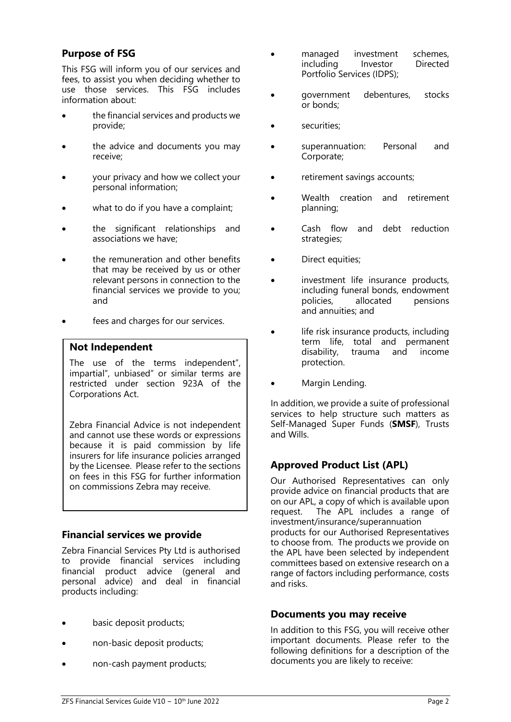# **Purpose of FSG**

This FSG will inform you of our services and fees, to assist you when deciding whether to use those services. This FSG includes information about:

- the financial services and products we provide;
- the advice and documents you may receive;
- your privacy and how we collect your personal information;
- what to do if you have a complaint;
- the significant relationships and associations we have;
- the remuneration and other benefits that may be received by us or other relevant persons in connection to the financial services we provide to you; and
- fees and charges for our services.

### **Not Independent**

The use of the terms independent", impartial", unbiased" or similar terms are restricted under section 923A of the Corporations Act.

Zebra Financial Advice is not independent and cannot use these words or expressions because it is paid commission by life insurers for life insurance policies arranged by the Licensee. Please refer to the sections on fees in this FSG for further information on commissions Zebra may receive.

### **Financial services we provide**

Zebra Financial Services Pty Ltd is authorised to provide financial services including financial product advice (general and personal advice) and deal in financial products including:

- basic deposit products;
- non-basic deposit products;
- non-cash payment products;
- managed investment schemes,<br>
including Investor Directed including Investor Portfolio Services (IDPS);
- government debentures, stocks or bonds;
- securities:
- superannuation: Personal and Corporate;
- retirement savings accounts;
- Wealth creation and retirement planning;
- Cash flow and debt reduction strategies;
- Direct equities;
- investment life insurance products, including funeral bonds, endowment<br>policies. allocated pensions allocated pensions and annuities; and
- life risk insurance products, including term life, total and permanent disability, trauma and income protection.
- Margin Lending.

In addition, we provide a suite of professional services to help structure such matters as Self-Managed Super Funds (**SMSF**), Trusts and Wills.

# **Approved Product List (APL)**

Our Authorised Representatives can only provide advice on financial products that are on our APL, a copy of which is available upon request. The APL includes a range of investment/insurance/superannuation products for our Authorised Representatives to choose from. The products we provide on the APL have been selected by independent committees based on extensive research on a range of factors including performance, costs and risks.

### **Documents you may receive**

In addition to this FSG, you will receive other important documents. Please refer to the following definitions for a description of the documents you are likely to receive: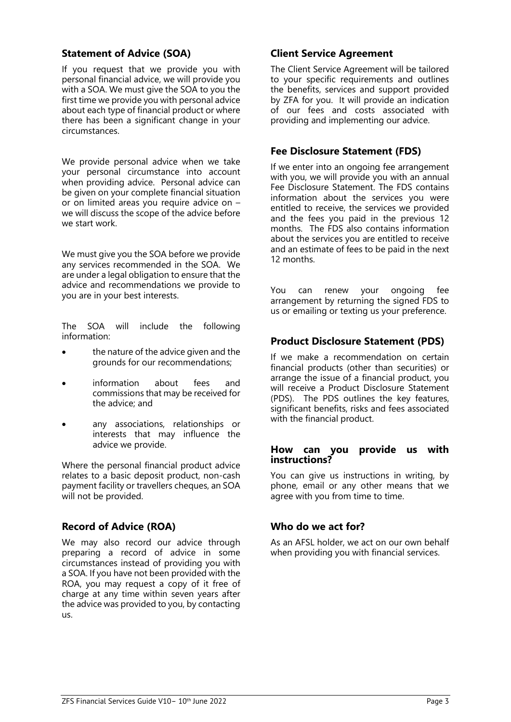# **Statement of Advice (SOA)**

If you request that we provide you with personal financial advice, we will provide you with a SOA. We must give the SOA to you the first time we provide you with personal advice about each type of financial product or where there has been a significant change in your circumstances.

We provide personal advice when we take your personal circumstance into account when providing advice. Personal advice can be given on your complete financial situation or on limited areas you require advice on – we will discuss the scope of the advice before we start work.

We must give you the SOA before we provide any services recommended in the SOA. We are under a legal obligation to ensure that the advice and recommendations we provide to you are in your best interests.

The SOA will include the following information:

- the nature of the advice given and the grounds for our recommendations;
- information about fees and commissions that may be received for the advice; and
- any associations, relationships or interests that may influence the advice we provide.

Where the personal financial product advice relates to a basic deposit product, non-cash payment facility or travellers cheques, an SOA will not be provided.

# **Record of Advice (ROA)**

We may also record our advice through preparing a record of advice in some circumstances instead of providing you with a SOA. If you have not been provided with the ROA, you may request a copy of it free of charge at any time within seven years after the advice was provided to you, by contacting us.

# **Client Service Agreement**

The Client Service Agreement will be tailored to your specific requirements and outlines the benefits, services and support provided by ZFA for you. It will provide an indication of our fees and costs associated with providing and implementing our advice.

# **Fee Disclosure Statement (FDS)**

If we enter into an ongoing fee arrangement with you, we will provide you with an annual Fee Disclosure Statement. The FDS contains information about the services you were entitled to receive, the services we provided and the fees you paid in the previous 12 months. The FDS also contains information about the services you are entitled to receive and an estimate of fees to be paid in the next 12 months.

You can renew your ongoing fee arrangement by returning the signed FDS to us or emailing or texting us your preference.

# **Product Disclosure Statement (PDS)**

If we make a recommendation on certain financial products (other than securities) or arrange the issue of a financial product, you will receive a Product Disclosure Statement (PDS). The PDS outlines the key features, significant benefits, risks and fees associated with the financial product.

#### **How can you provide us with instructions?**

You can give us instructions in writing, by phone, email or any other means that we agree with you from time to time.

# **Who do we act for?**

As an AFSL holder, we act on our own behalf when providing you with financial services.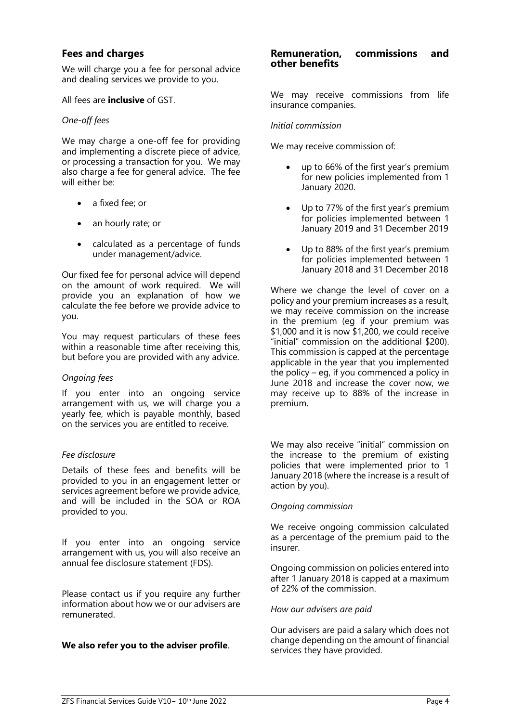# **Fees and charges**

We will charge you a fee for personal advice and dealing services we provide to you.

All fees are **inclusive** of GST.

#### *One-off fees*

We may charge a one-off fee for providing and implementing a discrete piece of advice, or processing a transaction for you. We may also charge a fee for general advice. The fee will either be:

- a fixed fee; or
- an hourly rate; or
- calculated as a percentage of funds under management/advice.

Our fixed fee for personal advice will depend on the amount of work required. We will provide you an explanation of how we calculate the fee before we provide advice to you.

You may request particulars of these fees within a reasonable time after receiving this, but before you are provided with any advice.

### *Ongoing fees*

If you enter into an ongoing service arrangement with us, we will charge you a yearly fee, which is payable monthly, based on the services you are entitled to receive.

#### *Fee disclosure*

Details of these fees and benefits will be provided to you in an engagement letter or services agreement before we provide advice, and will be included in the SOA or ROA provided to you.

If you enter into an ongoing service arrangement with us, you will also receive an annual fee disclosure statement (FDS).

Please contact us if you require any further information about how we or our advisers are remunerated.

### **We also refer you to the adviser profile**.

### **Remuneration, commissions and other benefits**

We may receive commissions from life insurance companies.

#### *Initial commission*

We may receive commission of:

- up to 66% of the first year's premium for new policies implemented from 1 January 2020.
- Up to 77% of the first year's premium for policies implemented between 1 January 2019 and 31 December 2019
- Up to 88% of the first year's premium for policies implemented between 1 January 2018 and 31 December 2018

Where we change the level of cover on a policy and your premium increases as a result, we may receive commission on the increase in the premium (eg if your premium was \$1,000 and it is now \$1,200, we could receive "initial" commission on the additional \$200). This commission is capped at the percentage applicable in the year that you implemented the policy – eg, if you commenced a policy in June 2018 and increase the cover now, we may receive up to 88% of the increase in premium.

We may also receive "initial" commission on the increase to the premium of existing policies that were implemented prior to 1 January 2018 (where the increase is a result of action by you).

### *Ongoing commission*

We receive ongoing commission calculated as a percentage of the premium paid to the insurer.

Ongoing commission on policies entered into after 1 January 2018 is capped at a maximum of 22% of the commission.

#### *How our advisers are paid*

Our advisers are paid a salary which does not change depending on the amount of financial services they have provided.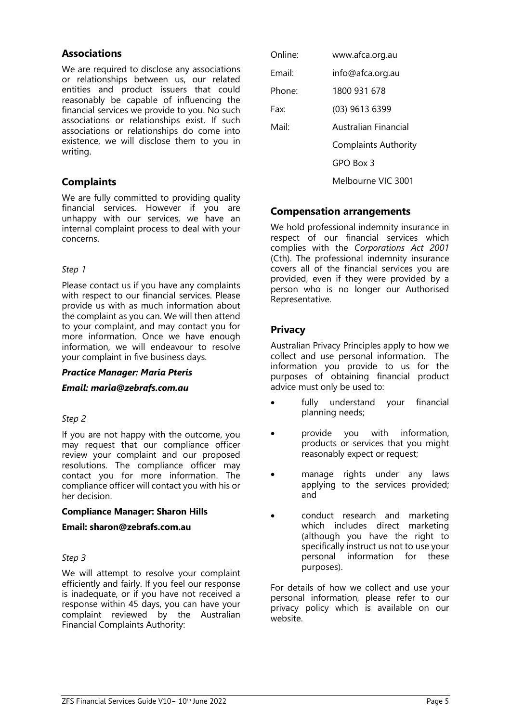# **Associations**

We are required to disclose any associations or relationships between us, our related entities and product issuers that could reasonably be capable of influencing the financial services we provide to you. No such associations or relationships exist. If such associations or relationships do come into existence, we will disclose them to you in writing.

# **Complaints**

We are fully committed to providing quality financial services. However if you are unhappy with our services, we have an internal complaint process to deal with your concerns.

### *Step 1*

Please contact us if you have any complaints with respect to our financial services. Please provide us with as much information about the complaint as you can. We will then attend to your complaint, and may contact you for more information. Once we have enough information, we will endeavour to resolve your complaint in five business days.

### *Practice Manager: Maria Pteris*

### *Email: maria@zebrafs.com.au*

### *Step 2*

If you are not happy with the outcome, you may request that our compliance officer review your complaint and our proposed resolutions. The compliance officer may contact you for more information. The compliance officer will contact you with his or her decision.

#### **Compliance Manager: Sharon Hills**

#### **Email: sharon@zebrafs.com.au**

### *Step 3*

We will attempt to resolve your complaint efficiently and fairly. If you feel our response is inadequate, or if you have not received a response within 45 days, you can have your complaint reviewed by the Australian Financial Complaints Authority:

| Online: | www.afca.org.au             |
|---------|-----------------------------|
| Email:  | info@afca.org.au            |
| Phone:  | 1800 931 678                |
| Fax:    | (03) 9613 6399              |
| Mail:   | Australian Financial        |
|         | <b>Complaints Authority</b> |
|         | GPO Box 3                   |
|         | Melbourne VIC 3001          |

### **Compensation arrangements**

We hold professional indemnity insurance in respect of our financial services which complies with the *Corporations Act 2001* (Cth). The professional indemnity insurance covers all of the financial services you are provided, even if they were provided by a person who is no longer our Authorised Representative.

# **Privacy**

Australian Privacy Principles apply to how we collect and use personal information. The information you provide to us for the purposes of obtaining financial product advice must only be used to:

- fully understand your financial planning needs;
- provide you with information, products or services that you might reasonably expect or request;
- manage rights under any laws applying to the services provided; and
- conduct research and marketing which includes direct marketing (although you have the right to specifically instruct us not to use your personal information for these purposes).

For details of how we collect and use your personal information, please refer to our privacy policy which is available on our website.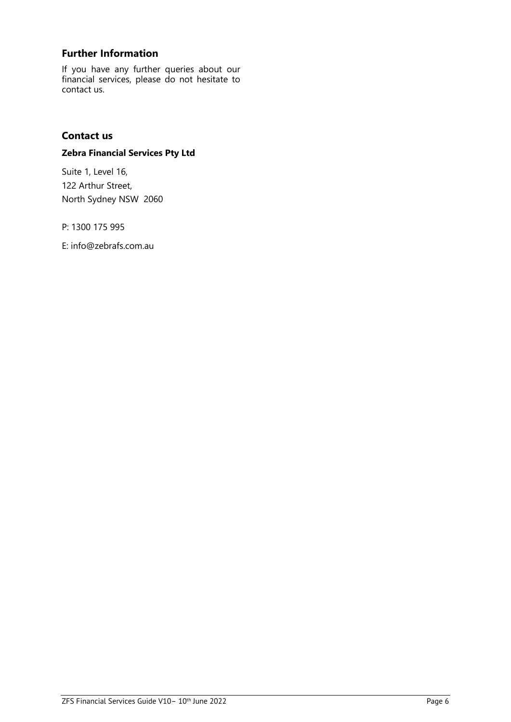# **Further Information**

If you have any further queries about our financial services, please do not hesitate to contact us.

# **Contact us**

### **Zebra Financial Services Pty Ltd**

Suite 1, Level 16, 122 Arthur Street, North Sydney NSW 2060

P: 1300 175 995

E: info@zebrafs.com.au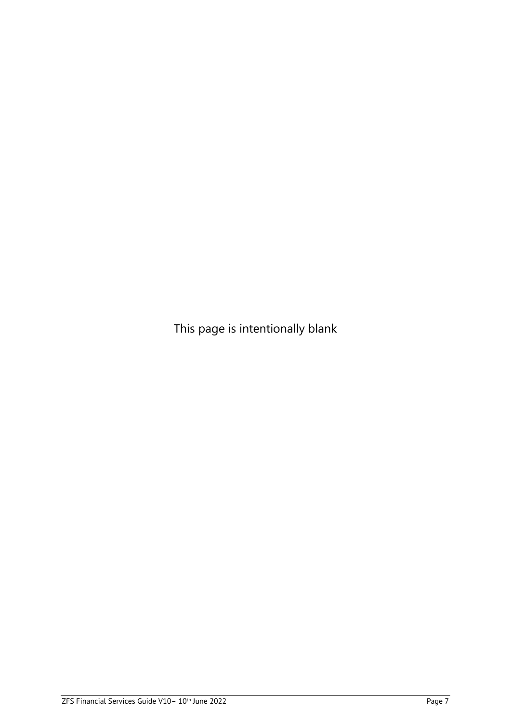This page is intentionally blank